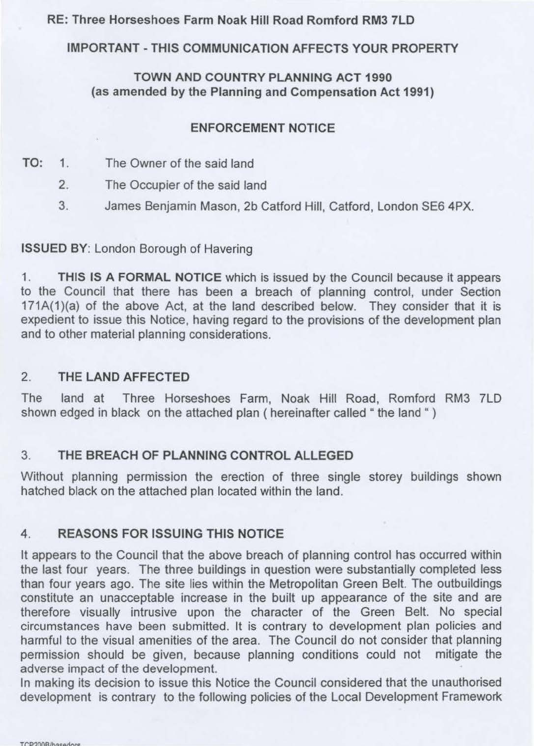## RE: Three Horseshoes Farm Noak Hill Road Romford RM3 7LD

# IMPORTANT - THIS COMMUNICATION AFFECTS YOUR PROPERTY

## TOWN AND COUNTRY PLANNING ACT 1990 (as amended by the Planning and Compensation Act 1991)

## ENFORCEMENT NOTICE

- TO: 1. The Owner of the said land
	- 2. The Occupier of the said land
	- 3. James Benjamin Mason, 2b Catford Hill, Catford, London SE6 4PX.

# ISSUED BY: London Borough of Havering

1. **THIS IS A FORMAL NOTICE** which is issued by the Council because it appears to the Council that there has been a breach of planning control, under Section 171A(1)(a) of the above Act, at the land described below. They consider that it is expedient to issue this Notice, having regard to the provisions of the development plan and to other material planning considerations.

## 2. THE **LAND AFFECTED**

The land at Three Horseshoes Farm, Noak Hill Road, Romford RM3 ?LD shown edged in black on the attached plan ( hereinafter called " the land "

# 3. **THE BREACH OF PLANNING CONTROL ALLEGED**

Without planning permission the erection of three single storey buildings shown hatched black on the attached plan located within the land.

# **4. REASONS FOR ISSUING THIS NOTICE**

It appears to the Council that the above breach of planning control has occurred within the last four years. The three buildings in question were substantially completed less than four years ago. The site lies within the Metropolitan Green Belt. The outbuildings constitute an unacceptable increase in the built up appearance of the site and are therefore visually intrusive upon the character of the Green Belt. No special circumstances have been submitted. It is contrary to development plan policies and harmful to the visual amenities of the area. The Council do not consider that planning permission should be given, because planning conditions could not mitigate the adverse impact of the development.

In making its decision to issue this Notice the Council considered that the unauthorised development is contrary to the following policies of the Local Development Framework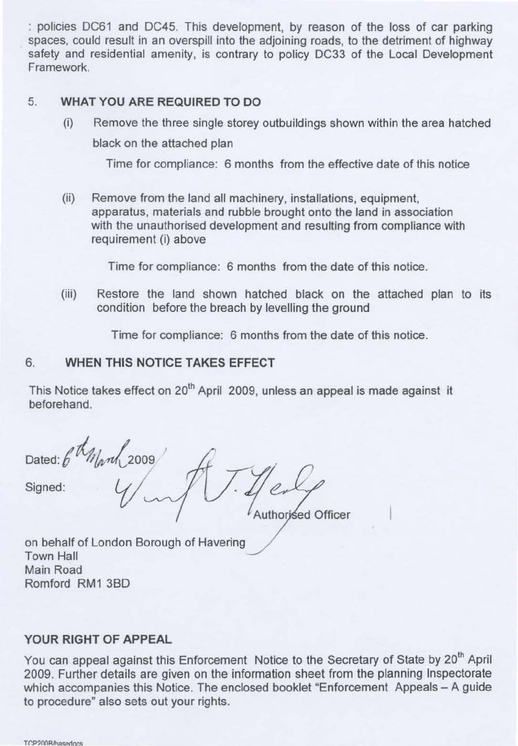: policies DC61 and DC45. This development, by reason of the loss of car parking spaces, could result in an overspill into the adjoining roads, to the detriment of highway safety and residential amenity, is contrary to policy DC33 of the Local Development Framework.

### 5. **WHAT YOU ARE REQUIRED TO DO**

(i) Remove the three single storey outbuildings shown within the area hatched black on the attached plan

Time for compliance: 6 months from the effective date of this notice

(ii) Remove from the land all machinery, installations, equipment, apparatus, materials and rubble brought onto the land in association with the unauthorised development and resulting from compliance with requirement (i) above

Time for compliance: 6 months from the date of this notice.

(iii) Restore the land shown hatched black on the attached plan to its condition before the breach by levelling the ground

Time for compliance: 6 months from the date of this notice.

#### 6. **WHEN THIS NOTICE TAKES EFFECT**

This Notice takes effect on 20<sup>th</sup> April 2009, unless an appeal is made against it beforehand.

Dated:  $\int_{\text{Borel}}^{\text{total}}$  //

Authorised Officer

on behalf of London Borough of Havering Town Hall Main Road Romford RM1 38D

#### **YOUR RIGHT OF APPEAL**

You can appeal against this Enforcement Notice to the Secretary of State by 20<sup>th</sup> April 2009. Further details are given on the information sheet from the planning Inspectorate which accompanies this Notice. The enclosed booklet "Enforcement Appeals - A guide to procedure" also sets out your rights.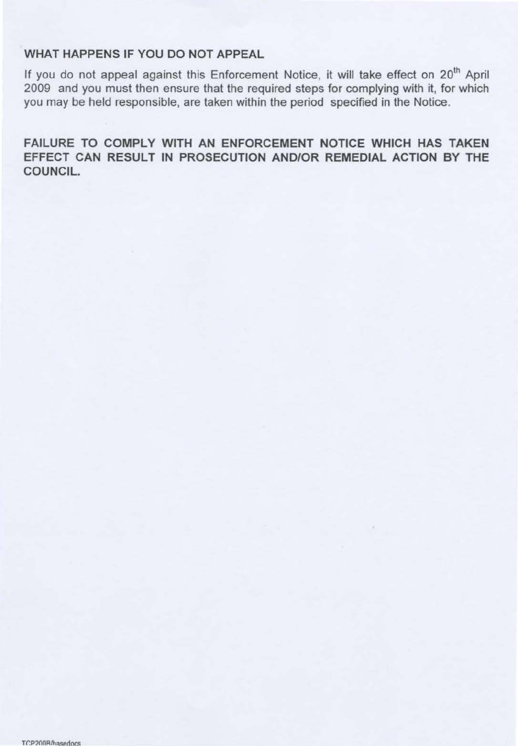#### WHAT HAPPENS IF YOU DO NOT APPEAL

If you do not appeal against this Enforcement Notice, it will take effect on 20<sup>th</sup> April 2009 and you must then ensure that the required steps for complying with it, for which you may be held responsible, are taken within the period specified in the Notice.

FAILURE TO COMPLY WITH AN ENFORCEMENT NOTICE WHICH HAS TAKEN EFFECT CAN RESULT IN PROSECUTION AND/OR REMEDIAL ACTION BY THE COUNCIL.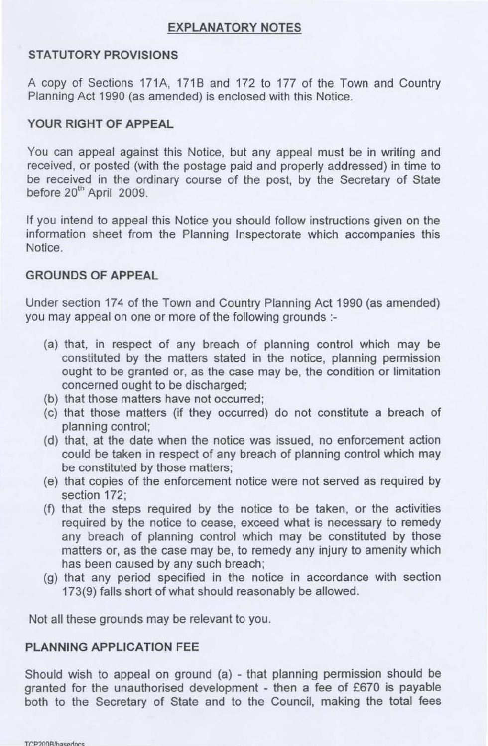#### **EXPLANATORY NOTES**

### **STATUTORY PROVISIONS**

A copy of Sections 171A, 171B and 172 to 177 of the Town and Country Planning Act 1990 (as amended) is enclosed with this Notice.

## **YOUR RIGHT OF APPEAL**

You can appeal against this Notice, but any appeal must be in writing and received, or posted (with the postage paid and properly addressed) in time to be received in the ordinary course of the post, by the Secretary of State before 20<sup>th</sup> April 2009.

If you intend to appeal this Notice you should follow instructions given on the information sheet from the Planning Inspectorate which accompanies this Notice.

#### **GROUNDS OF APPEAL**

Under section 174 of the Town and Country Planning Act 1990 (as amended) you may appeal on one or more of the following grounds :-

- (a) that, in respect of any breach of planning control which may be constituted by the matters stated in the notice, planning permission ought to be granted or, as the case may be, the condition or limitation concerned ought to be discharged;
- (b) that those matters have not occurred;
- (c) that those matters (if they occurred) do not constitute a breach of planning control;
- (d) that, at the date when the notice was issued, no enforcement action could be taken in respect of any breach of planning control which may be constituted by those matters;
- (e) that copies of the enforcement notice were not served as required by section 172;
- (f) that the steps required by the notice to be taken, or the activities required by the notice to cease, exceed what is necessary to remedy any breach of planning control which may be constituted by those matters or, as the case may be, to remedy any injury to amenity which has been caused by any such breach;
- (g) that any period specified in the notice in accordance with section 173(9) falls short of what should reasonably be allowed.

Not all these grounds may be relevant to you.

### **PLANNING APPLICATION** FEE

Should wish to appeal on ground (a) - that planning permission should be granted for the unauthorised development - then a fee of £670 is payable both to the Secretary of State and to the Council, making the total fees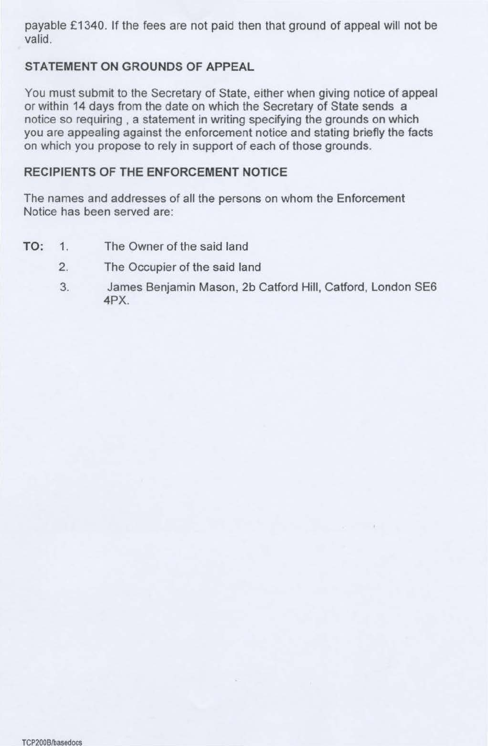payable £1340. If the fees are not paid then that ground of appeal will not be valid.

## **STATEMENT ON GROUNDS OF APPEAL**

You must submit to the Secretary of State, either when giving notice of appeal or within 14 days from the date on which the Secretary of State sends a notice so requiring , a statement in writing specifying the grounds on which you are appealing against the enforcement notice and stating briefly the facts on which you propose to rely in support of each of those grounds.

### **RECIPIENTS OF THE ENFORCEMENT NOTICE**

The names and addresses of all the persons on whom the Enforcement Notice has been served are:

- TO: 1. The Owner of the said land
	- 2. The Occupier of the said land
	- 3. James Benjamin Mason, 2b Catford Hill, Catford, London SE6 **4PX.**